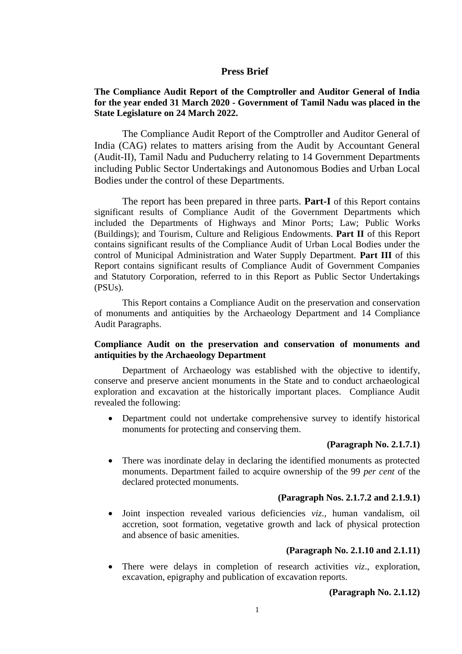## **Press Brief**

## **The Compliance Audit Report of the Comptroller and Auditor General of India for the year ended 31 March 2020 - Government of Tamil Nadu was placed in the State Legislature on 24 March 2022.**

The Compliance Audit Report of the Comptroller and Auditor General of India (CAG) relates to matters arising from the Audit by Accountant General (Audit-II), Tamil Nadu and Puducherry relating to 14 Government Departments including Public Sector Undertakings and Autonomous Bodies and Urban Local Bodies under the control of these Departments.

The report has been prepared in three parts. **Part-I** of this Report contains significant results of Compliance Audit of the Government Departments which included the Departments of Highways and Minor Ports; Law; Public Works (Buildings); and Tourism, Culture and Religious Endowments. **Part II** of this Report contains significant results of the Compliance Audit of Urban Local Bodies under the control of Municipal Administration and Water Supply Department. **Part III** of this Report contains significant results of Compliance Audit of Government Companies and Statutory Corporation, referred to in this Report as Public Sector Undertakings (PSUs).

This Report contains a Compliance Audit on the preservation and conservation of monuments and antiquities by the Archaeology Department and 14 Compliance Audit Paragraphs.

## **Compliance Audit on the preservation and conservation of monuments and antiquities by the Archaeology Department**

Department of Archaeology was established with the objective to identify, conserve and preserve ancient monuments in the State and to conduct archaeological exploration and excavation at the historically important places. Compliance Audit revealed the following:

• Department could not undertake comprehensive survey to identify historical monuments for protecting and conserving them.

## **(Paragraph No. 2.1.7.1)**

• There was inordinate delay in declaring the identified monuments as protected monuments. Department failed to acquire ownership of the 99 *per cent* of the declared protected monuments.

#### **(Paragraph Nos. 2.1.7.2 and 2.1.9.1)**

• Joint inspection revealed various deficiencies *viz*., human vandalism, oil accretion, soot formation, vegetative growth and lack of physical protection and absence of basic amenities.

#### **(Paragraph No. 2.1.10 and 2.1.11)**

• There were delays in completion of research activities *viz*., exploration, excavation, epigraphy and publication of excavation reports.

#### **(Paragraph No. 2.1.12)**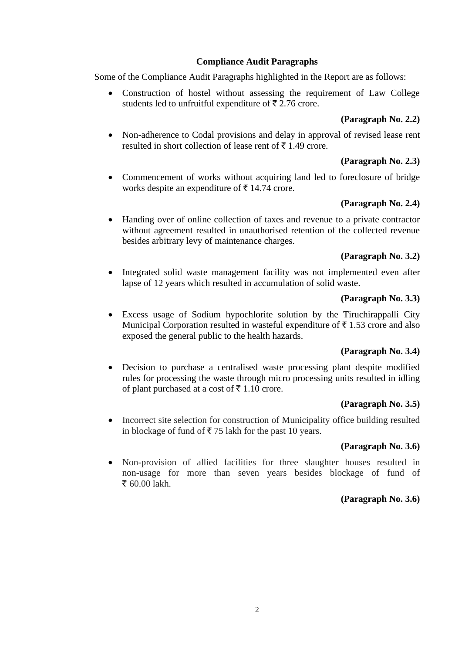## **Compliance Audit Paragraphs**

Some of the Compliance Audit Paragraphs highlighted in the Report are as follows:

• Construction of hostel without assessing the requirement of Law College students led to unfruitful expenditure of  $\bar{\tau}$  2.76 crore.

# **(Paragraph No. 2.2)**

• Non-adherence to Codal provisions and delay in approval of revised lease rent resulted in short collection of lease rent of  $\bar{\tau}$  1.49 crore.

# **(Paragraph No. 2.3)**

• Commencement of works without acquiring land led to foreclosure of bridge works despite an expenditure of  $\bar{\tau}$  14.74 crore.

# **(Paragraph No. 2.4)**

• Handing over of online collection of taxes and revenue to a private contractor without agreement resulted in unauthorised retention of the collected revenue besides arbitrary levy of maintenance charges.

# **(Paragraph No. 3.2)**

• Integrated solid waste management facility was not implemented even after lapse of 12 years which resulted in accumulation of solid waste.

## **(Paragraph No. 3.3)**

Excess usage of Sodium hypochlorite solution by the Tiruchirappalli City Municipal Corporation resulted in wasteful expenditure of  $\bar{\tau}$  1.53 crore and also exposed the general public to the health hazards.

# **(Paragraph No. 3.4)**

• Decision to purchase a centralised waste processing plant despite modified rules for processing the waste through micro processing units resulted in idling of plant purchased at a cost of  $\bar{\tau}$  1.10 crore.

# **(Paragraph No. 3.5)**

• Incorrect site selection for construction of Municipality office building resulted in blockage of fund of  $\bar{\tau}$  75 lakh for the past 10 years.

# **(Paragraph No. 3.6)**

• Non-provision of allied facilities for three slaughter houses resulted in non-usage for more than seven years besides blockage of fund of  $\bar{z}$  60.00 lakh.

# **(Paragraph No. 3.6)**